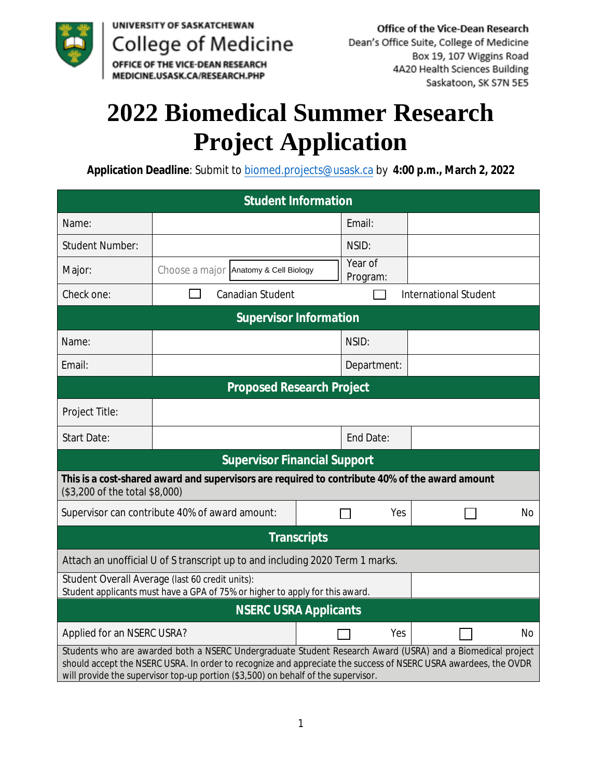

## **2022 Biomedical Summer Research Project Application**

Application Deadline: Submit to biomed.projects@usask.ca by 4:00 p.m., March 2, 2022

| <b>Student Information</b>                                                                                                                                                                                                                                                                                         |                                       |  |                     |                    |                              |                |  |  |  |  |
|--------------------------------------------------------------------------------------------------------------------------------------------------------------------------------------------------------------------------------------------------------------------------------------------------------------------|---------------------------------------|--|---------------------|--------------------|------------------------------|----------------|--|--|--|--|
| Name:                                                                                                                                                                                                                                                                                                              |                                       |  | Email:              |                    |                              |                |  |  |  |  |
| <b>Student Number:</b>                                                                                                                                                                                                                                                                                             |                                       |  | NSID:               |                    |                              |                |  |  |  |  |
| Major:                                                                                                                                                                                                                                                                                                             | Choose a major Anatomy & Cell Biology |  | Year of<br>Program: |                    |                              |                |  |  |  |  |
| <b>Check one:</b>                                                                                                                                                                                                                                                                                                  | <b>Canadian Student</b>               |  |                     |                    | <b>International Student</b> |                |  |  |  |  |
| <b>Supervisor Information</b>                                                                                                                                                                                                                                                                                      |                                       |  |                     |                    |                              |                |  |  |  |  |
| Name:                                                                                                                                                                                                                                                                                                              |                                       |  | NSID:               |                    |                              |                |  |  |  |  |
| Email:                                                                                                                                                                                                                                                                                                             |                                       |  |                     | <b>Department:</b> |                              |                |  |  |  |  |
| <b>Proposed Research Project</b>                                                                                                                                                                                                                                                                                   |                                       |  |                     |                    |                              |                |  |  |  |  |
| <b>Project Title:</b>                                                                                                                                                                                                                                                                                              |                                       |  |                     |                    |                              |                |  |  |  |  |
| <b>Start Date:</b>                                                                                                                                                                                                                                                                                                 |                                       |  | <b>End Date:</b>    |                    |                              |                |  |  |  |  |
| <b>Supervisor Financial Support</b>                                                                                                                                                                                                                                                                                |                                       |  |                     |                    |                              |                |  |  |  |  |
| This is a cost-shared award and supervisors are required to contribute 40% of the award amount<br>(\$3,200 of the total \$8,000)                                                                                                                                                                                   |                                       |  |                     |                    |                              |                |  |  |  |  |
| Supervisor can contribute 40% of award amount:                                                                                                                                                                                                                                                                     |                                       |  | Yes                 |                    |                              | No             |  |  |  |  |
| <b>Transcripts</b>                                                                                                                                                                                                                                                                                                 |                                       |  |                     |                    |                              |                |  |  |  |  |
| Attach an unofficial U of S transcript up to and including 2020 Term 1 marks.                                                                                                                                                                                                                                      |                                       |  |                     |                    |                              |                |  |  |  |  |
| <b>Student Overall Average (last 60 credit units):</b><br>Student applicants must have a GPA of 75% or higher to apply for this award.                                                                                                                                                                             |                                       |  |                     |                    |                              |                |  |  |  |  |
| <b>NSERC USRA Applicants</b>                                                                                                                                                                                                                                                                                       |                                       |  |                     |                    |                              |                |  |  |  |  |
| <b>Applied for an NSERC USRA?</b>                                                                                                                                                                                                                                                                                  |                                       |  |                     | Yes                |                              | N <sub>o</sub> |  |  |  |  |
| Students who are awarded both a NSERC Undergraduate Student Research Award (USRA) and a Biomedical project<br>should accept the NSERC USRA. In order to recognize and appreciate the success of NSERC USRA awardees, the OVDR<br>will provide the supervisor top-up portion (\$3,500) on behalf of the supervisor. |                                       |  |                     |                    |                              |                |  |  |  |  |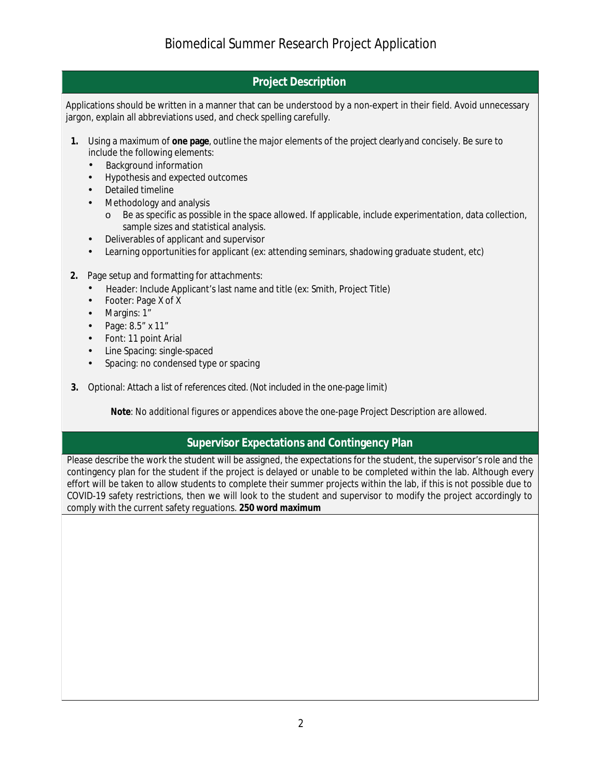## **Project Description**

Applications should be written in a manner that can be understood by a non-expert in their field. Avoid unnecessary jargon, explain all abbreviations used, and check spelling carefully.

- 1. Using a maximum of one page, outline the major elements of the project clearly and concisely. Be sure to include the following elements:
	- **Background information**  $\bullet$
	- **Hypothesis and expected outcomes**  $\bullet$
	- **Detailed timeline**
	- **Methodology and analysis** 
		- Be as specific as possible in the space allowed. If applicable, include experimentation, data collection,  $\circ$ sample sizes and statistical analysis.
	- Deliverables of applicant and supervisor  $\bullet$
	- Learning opportunities for applicant (ex: attending seminars, shadowing graduate student, etc)
- 2. Page setup and formatting for attachments:
	- Header: Include Applicant's last name and title (ex: Smith, Project Title)
	- **Footer: Page X of X**
	- Margins: 1"
	- Page: 8.5" x 11"
	- Font: 11 point Arial
	- Line Spacing: single-spaced  $\bullet$
	- Spacing: no condensed type or spacing
- 3. Optional: Attach a list of references cited. (Not included in the one-page limit)

Note: No additional figures or appendices above the one-page Project Description are allowed.

## **Supervisor Expectations and Contingency Plan**

Please describe the work the student will be assigned, the expectations for the student, the supervisor's role and the contingency plan for the student if the project is delayed or unable to be completed within the lab. Although every effort will be taken to allow students to complete their summer projects within the lab, if this is not possible due to COVID-19 safety restrictions, then we will look to the student and supervisor to modify the project accordingly to comply with the current safety reguations. 250 word maximum